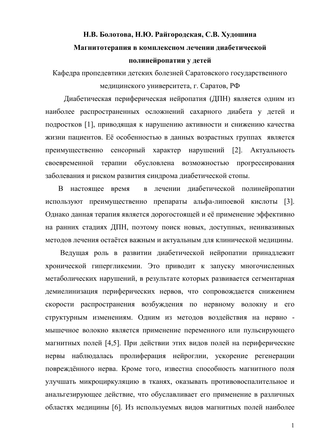# Н.В. Болотова, Н.Ю. Райгородская, С.В. Худошина Магнитотерапия в комплексном лечении диабетической полинейропатии у детей

Кафедра пропедевтики детских болезней Саратовского государственного медицинского университета, г. Саратов, РФ

Диабетическая периферическая нейропатия (ДПН) является одним из наиболее распространенных осложнений сахарного диабета у детей и подростков [1], приводящая к нарушению активности и снижению качества жизни пациентов. Её особенностью в данных возрастных группах является преимущественно сенсорный характер нарушений [2]. Актуальность своевременной терапии обусловлена возможностью прогрессирования заболевания и риском развития синдрома диабетической стопы.

В настоящее время в лечении диабетической полинейропатии используют преимущественно препараты альфа-липоевой кислоты [3]. Однако данная терапия является дорогостоящей и её применение эффективно на ранних стадиях ДПН, поэтому поиск новых, доступных, неинвазивных методов лечения остаётся важным и актуальным для клинической медицины.

Ведущая роль в развитии диабетической нейропатии принадлежит хронической гипергликемии. Это приводит к запуску многочисленных метаболических нарушений, в результате которых развивается сегментарная демиелинизация периферических нервов, что сопровождается снижением скорости распространения возбуждения по нервному волокну и его структурным изменениям. Одним из методов воздействия на нервно мышечное волокно является применение переменного или пульсирующего магнитных полей [4,5]. При действии этих видов полей на периферические нервы наблюдалась пролиферация нейроглии, ускорение регенерации повреждённого нерва. Кроме того, известна способность магнитного поля улучшать микроциркуляцию в тканях, оказывать противовоспалительное и анальгезирующее действие, что обуславливает его применение в различных областях медицины [6]. Из используемых видов магнитных полей наиболее

 $\mathbf{1}$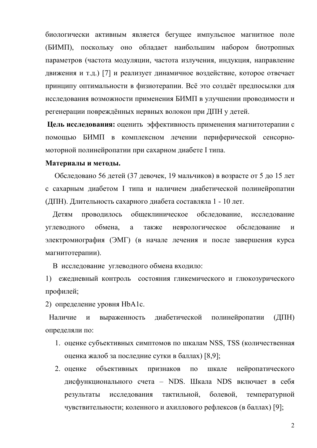биологически активным является бегущее импульсное магнитное поле (БИМП), поскольку оно обладает наибольшим набором биотропных параметров (частота модуляции, частота излучения, индукция, направление движения и т.д.) [7] и реализует динамичное воздействие, которое отвечает принципу оптимальности в физиотерапии. Всё это создаёт предпосылки для исследования возможности применения БИМП в улучшении проводимости и регенерации повреждённых нервных волокон при ДПН у детей.

Цель исследования: оценить эффективность применения магнитотерапии с помощью БИМП в комплексном лечении периферической сенсорномоторной полинейропатии при сахарном диабете I типа.

## Материалы и методы.

Обследовано 56 детей (37 девочек, 19 мальчиков) в возрасте от 5 до 15 лет с сахарным диабетом I типа и наличием диабетической полинейропатии (ДПН). Длительность сахарного диабета составляла 1 - 10 лет.

общеклиническое обследование, Летям проводилось исследование углеводного обмена, a также неврологическое обследование  $\mathbf{M}$ электромиография (ЭМГ) (в начале лечения и после завершения курса магнитотерапии).

В исследование углеводного обмена входило:

1) ежедневный контроль состояния гликемического и глюкозурического профилей;

2) определение уровня HbA1c.

диабетической Наличие  $\boldsymbol{\mathrm{M}}$ выраженность полинейропатии  $(IIIH)$ определяли по:

- 1. оценке субъективных симптомов по шкалам NSS, TSS (количественная оценка жалоб за последние сутки в баллах) [8,9];
- 2. оценке объективных признаков  $\Pi$ <sup>O</sup> шкале нейропатического дисфункционального счета - NDS. Шкала NDS включает в себя тактильной. болевой. результаты исследования температурной чувствительности; коленного и ахиллового рефлексов (в баллах) [9];

 $\overline{2}$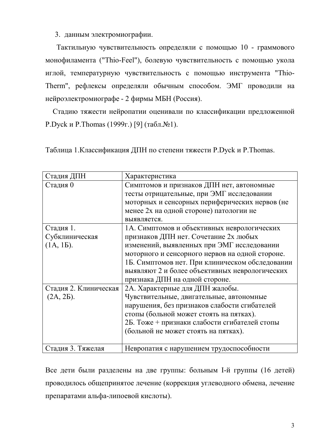3. данным электромиографии.

Тактильную чувствительность определяли с помощью 10 - граммового монофиламента ("Thio-Feel"), болевую чувствительность с помощью укола иглой, температурную чувствительность с помощью инструмента "Thio-Тherm", рефлексы определяли обычным способом. ЭМГ проводили на нейроэлектромиографе - 2 фирмы МБН (Россия).

Стадию тяжести нейропатии оценивали по классификации предложенной Р. Dyck и Р. Thomas (1999г.) [9] (табл. №1).

Таблица 1. Классификация ДПН по степени тяжести P. Dyck и P. Thomas.

| Стадия ДПН            | Характеристика                                  |
|-----------------------|-------------------------------------------------|
| Стадия 0              | Симптомов и признаков ДПН нет, автономные       |
|                       | тесты отрицательные, при ЭМГ исследовании       |
|                       | моторных и сенсорных периферических нервов (не  |
|                       | менее 2х на одной стороне) патологии не         |
|                       | выявляется.                                     |
| Стадия 1.             | 1А. Симптомов и объективных неврологических     |
| Субклиническая        | признаков ДПН нет. Сочетание 2х любых           |
| (1A, 1B).             | изменений, выявленных при ЭМГ исследовании      |
|                       | моторного и сенсорного нервов на одной стороне. |
|                       | 1Б. Симптомов нет. При клиническом обследовании |
|                       | выявляют 2 и более объективных неврологических  |
|                       | признака ДПН на одной стороне.                  |
| Стадия 2. Клиническая | 2А. Характерные для ДПН жалобы.                 |
| $(2A, 2B)$ .          | Чувствительные, двигательные, автономные        |
|                       | нарушения, без признаков слабости сгибателей    |
|                       | стопы (больной может стоять на пятках).         |
|                       | 2Б. Тоже + признаки слабости сгибателей стопы   |
|                       | (больной не может стоять на пятках).            |
|                       |                                                 |
| Стадия 3. Тяжелая     | Невропатия с нарушением трудоспособности        |

Все дети были разделены на две группы: больным I-й группы (16 детей) проводилось общепринятое лечение (коррекция углеводного обмена, лечение препаратами альфа-липоевой кислоты).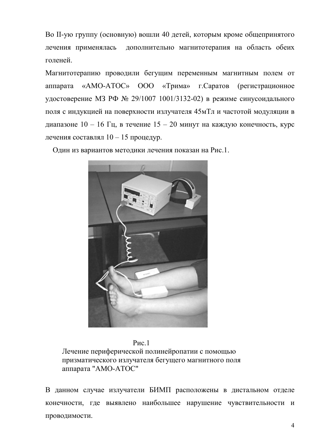Во II-ую группу (основную) вошли 40 детей, которым кроме общепринятого лечения применялась дополнительно магнитотерапия на область обеих голеней.

Магнитотерапию проводили бегущим переменным магнитным полем от аппарата «AMO-ATOC» 000 «Трима» г. Саратов (регистрационное удостоверение МЗ РФ № 29/1007 1001/3132-02) в режиме синусоидального поля с индукцией на поверхности излучателя 45мТл и частотой модуляции в диапазоне  $10 - 16$  Гц, в течение  $15 - 20$  минут на каждую конечность, курс лечения составлял 10 - 15 процедур.

Один из вариантов методики лечения показан на Рис.1.



 $P$ ис. 1 Лечение периферической полинейропатии с помощью призматического излучателя бегущего магнитного поля аппарата "АМО-АТОС"

В данном случае излучатели БИМП расположены в дистальном отделе конечности, где выявлено наибольшее нарушение чувствительности и проводимости.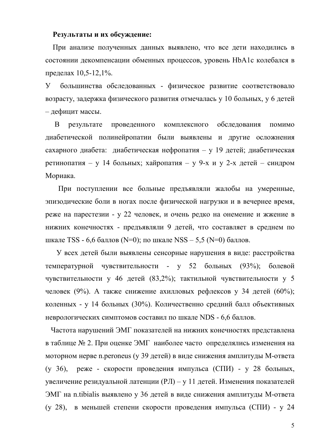## Результаты и их обсуждение:

При анализе полученных данных выявлено, что все дети находились в состоянии декомпенсации обменных процессов, уровень HbA1c колебался в пределах 10.5-12.1%.

 $\mathbf{V}$ большинства обследованных - физическое развитие соответствовало возрасту, задержка физического развития отмечалась у 10 больных, у 6 детей - дефицит массы.

проведенного комплексного обследования B результате помимо диабетической полинейропатии были выявлены и другие осложнения сахарного диабета: диабетическая нефропатия - у 19 детей; диабетическая ретинопатия - у 14 больных; хайропатия - у 9-х и у 2-х детей - синдром Мориака.

При поступлении все больные предъявляли жалобы на умеренные, эпизодические боли в ногах после физической нагрузки и в вечернее время. реже на парестезии - у 22 человек, и очень редко на онемение и жжение в нижних конечностях - предъявляли 9 детей, что составляет в среднем по шкале TSS - 6,6 баллов (N=0); по шкале NSS - 5,5 (N=0) баллов.

У всех детей были выявлены сенсорные нарушения в виде: расстройства температурной чувствительности - у 52 больных  $(93%)$ : болевой чувствительности у 46 детей (83,2%); тактильной чувствительности у 5 человек (9%). А также снижение ахилловых рефлексов у 34 детей (60%); коленных - у 14 больных (30%). Количественно средний балл объективных неврологических симптомов составил по шкале NDS - 6.6 баллов.

Частота нарушений ЭМГ показателей на нижних конечностях представлена в таблице № 2. При оценке ЭМГ наиболее часто определялись изменения на моторном нерве n.peroneus (у 39 детей) в виде снижения амплитуды М-ответа реже - скорости проведения импульса (СПИ) - у 28 больных,  $(v 36)$ , увеличение резидуальной латенции (РЛ) - у 11 детей. Изменения показателей ЭМГ на n.tibialis выявлено у 36 детей в виде снижения амплитуды М-ответа (у 28), в меньшей степени скорости проведения импульса (СПИ) - у 24

5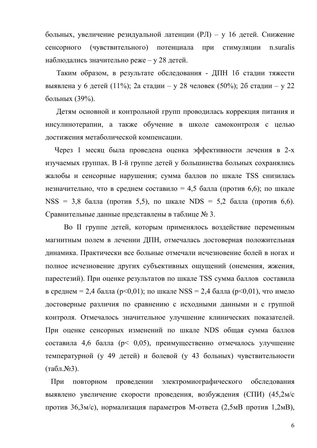больных, увеличение резидуальной латенции (РЛ) - у 16 детей. Снижение сенсорного (чувствительного) потенциала n suralis при стимуляции наблюдались значительно реже – у 28 детей.

Таким образом, в результате обследования - ДПН 16 стадии тяжести выявлена у 6 детей (11%); 2а стадии – у 28 человек (50%); 2б стадии – у 22 больных (39%).

Детям основной и контрольной групп проводилась коррекция питания и инсулинотерапии, а также обучение в школе самоконтроля с целью достижения метаболической компенсации.

Через 1 месяц была проведена оценка эффективности лечения в 2-х изучаемых группах. В І-й группе детей у большинства больных сохранялись жалобы и сенсорные нарушения; сумма баллов по шкале TSS снизилась незначительно, что в среднем составило = 4,5 балла (против 6,6); по шкале NSS = 3.8 балла (против 5.5), по шкале NDS = 5.2 балла (против 6.6). Сравнительные данные представлены в таблице № 3.

Во II группе детей, которым применялось воздействие переменным магнитным полем в лечении ДПН, отмечалась достоверная положительная динамика. Практически все больные отмечали исчезновение болей в ногах и полное исчезновение других субъективных ощущений (онемения, жжения, парестезий). При оценке результатов по шкале TSS сумма баллов составила в среднем = 2,4 балла (p<0,01); по шкале NSS = 2,4 балла (p<0,01), что имело достоверные различия по сравнению с исходными данными и с группой контроля. Отмечалось значительное улучшение клинических показателей. При оценке сенсорных изменений по шкале NDS общая сумма баллов составила 4,6 балла (р< 0,05), преимущественно отмечалось улучшение температурной (у 49 детей) и болевой (у 43 больных) чувствительности  $(\text{табл.}\mathcal{N}\text{e}3).$ 

При повторном проведении электромиографического обследования выявлено увеличение скорости провеления, возбуждения (СПИ) (45.2м/с против 36,3м/с), нормализация параметров М-ответа (2,5мВ против 1,2мВ),

6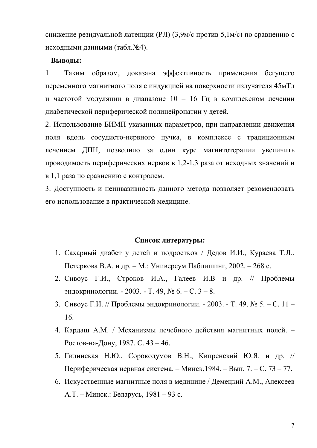снижение резидуальной латенции (РЛ) (3,9м/с против 5,1м/с) по сравнению с исходными данными (табл. №4).

### Выводы:

 $1<sub>1</sub>$ эффективность Таким образом, доказана применения бегущего переменного магнитного поля с индукцией на поверхности излучателя 45мТл и частотой модуляции в диапазоне 10 - 16 Гц в комплексном лечении диабетической периферической полинейропатии у детей.

2. Использование БИМП указанных параметров, при направлении движения поля вдоль сосудисто-нервного пучка, в комплексе с традиционным лечением ДПН, позволило за один курс магнитотерапии увеличить проводимость периферических нервов в 1,2-1,3 раза от исходных значений и в 1,1 раза по сравнению с контролем.

3. Доступность и неинвазивность данного метода позволяет рекомендовать его использование в практической медицине.

### Список литературы:

- 1. Сахарный диабет у детей и подростков / Дедов И.И., Кураева Т.Л., Петеркова В.А. и др. – М.: Универсум Паблишинг, 2002. – 268 с.
- 2. Сивоус Г.И., Строков И.А., Галеев И.В и др. // Проблемы эндокринологии. - 2003. - Т. 49, № 6. – С. 3 – 8.
- 3. Сивоус Г.И. // Проблемы эндокринологии. 2003. Т. 49, № 5. С. 11 -16.
- 4. Кардаш А.М. / Механизмы лечебного действия магнитных полей. -Ростов-на-Дону, 1987. С. 43 - 46.
- 5. Гилинская Н.Ю., Сорокодумов В.Н., Кипренский Ю.Я. и др. // Периферическая нервная система. – Минск, 1984. – Вып. 7. – С. 73 – 77.
- 6. Искусственные магнитные поля в медицине / Демецкий А.М., Алексеев А.Т. – Минск.: Беларусь, 1981 – 93 с.